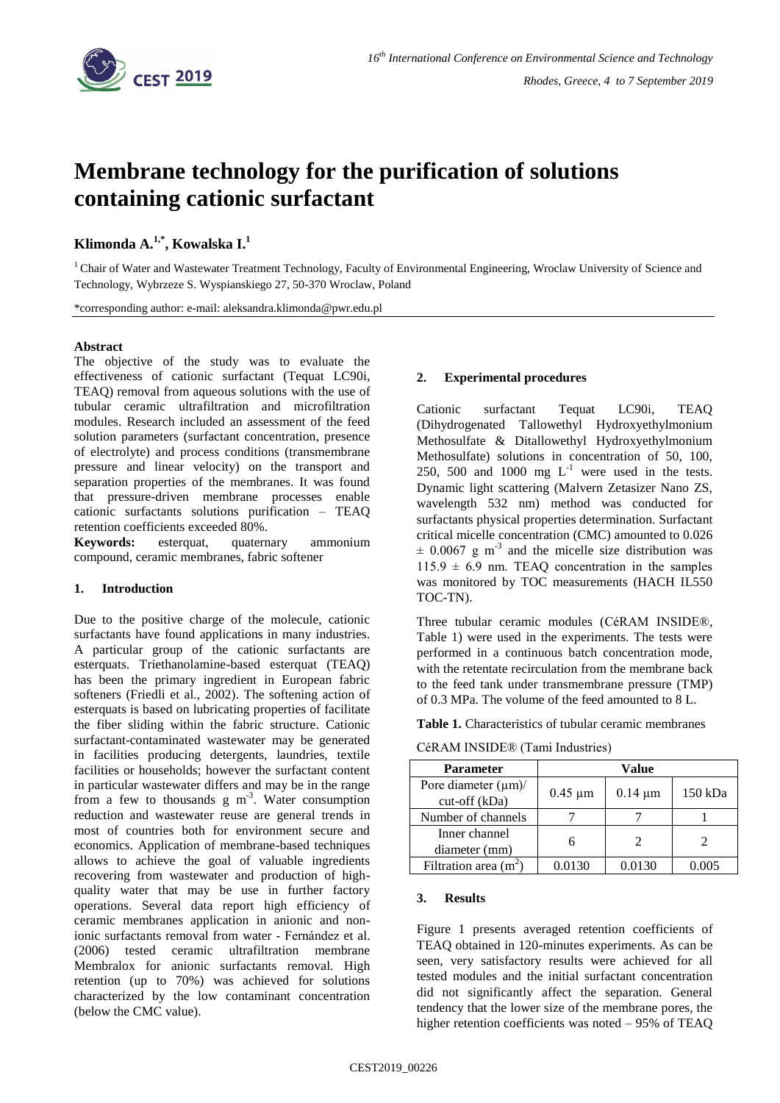

# **Membrane technology for the purification of solutions containing cationic surfactant**

# **Klimonda A. 1,\* , Kowalska I. 1**

<sup>1</sup> Chair of Water and Wastewater Treatment Technology, Faculty of Environmental Engineering, Wroclaw University of Science and Technology, Wybrzeze S. Wyspianskiego 27, 50-370 Wroclaw, Poland

\*corresponding author: e-mail: aleksandra.klimonda@pwr.edu.pl

## **Abstract**

The objective of the study was to evaluate the effectiveness of cationic surfactant (Tequat LC90i, TEAQ) removal from aqueous solutions with the use of tubular ceramic ultrafiltration and microfiltration modules. Research included an assessment of the feed solution parameters (surfactant concentration, presence of electrolyte) and process conditions (transmembrane pressure and linear velocity) on the transport and separation properties of the membranes. It was found that pressure-driven membrane processes enable cationic surfactants solutions purification – TEAQ retention coefficients exceeded 80%.

**Keywords:** esterquat, quaternary ammonium compound, ceramic membranes, fabric softener

## **1. Introduction**

Due to the positive charge of the molecule, cationic surfactants have found applications in many industries. A particular group of the cationic surfactants are esterquats. Triethanolamine-based esterquat (TEAQ) has been the primary ingredient in European fabric softeners (Friedli et al., 2002). The softening action of esterquats is based on lubricating properties of facilitate the fiber sliding within the fabric structure. Cationic surfactant-contaminated wastewater may be generated in facilities producing detergents, laundries, textile facilities or households; however the surfactant content in particular wastewater differs and may be in the range from a few to thousands  $g/m<sup>3</sup>$ . Water consumption reduction and wastewater reuse are general trends in most of countries both for environment secure and economics. Application of membrane-based techniques allows to achieve the goal of valuable ingredients recovering from wastewater and production of highquality water that may be use in further factory operations. Several data report high efficiency of ceramic membranes application in anionic and nonionic surfactants removal from water - Fernández et al. (2006) tested ceramic ultrafiltration membrane Membralox for anionic surfactants removal. High retention (up to 70%) was achieved for solutions characterized by the low contaminant concentration (below the CMC value).

#### **2. Experimental procedures**

Cationic surfactant Tequat LC90i, TEAQ (Dihydrogenated Tallowethyl Hydroxyethylmonium Methosulfate & Ditallowethyl Hydroxyethylmonium Methosulfate) solutions in concentration of 50, 100, 250, 500 and 1000 mg  $L^{-1}$  were used in the tests. Dynamic light scattering (Malvern Zetasizer Nano ZS, wavelength 532 nm) method was conducted for surfactants physical properties determination. Surfactant critical micelle concentration (CMC) amounted to 0.026  $\pm$  0.0067 g m<sup>-3</sup> and the micelle size distribution was  $115.9 \pm 6.9$  nm. TEAQ concentration in the samples was monitored by TOC measurements (HACH IL550 TOC-TN).

Three tubular ceramic modules (CéRAM INSIDE®, Table 1) were used in the experiments. The tests were performed in a continuous batch concentration mode, with the retentate recirculation from the membrane back to the feed tank under transmembrane pressure (TMP) of 0.3 MPa. The volume of the feed amounted to 8 L.

**Table 1.** Characteristics of tubular ceramic membranes

| <b>Parameter</b>                           | Value        |              |         |
|--------------------------------------------|--------------|--------------|---------|
| Pore diameter $(\mu m)$ /<br>cut-off (kDa) | $0.45 \mu m$ | $0.14 \mu m$ | 150 kDa |
| Number of channels                         |              |              |         |
| Inner channel<br>diameter (mm)             |              |              |         |
| Filtration area $(m^2)$                    | 0.0130       | 0.0130       | 0.005   |

CéRAM INSIDE® (Tami Industries)

#### **3. Results**

Figure 1 presents averaged retention coefficients of TEAQ obtained in 120-minutes experiments. As can be seen, very satisfactory results were achieved for all tested modules and the initial surfactant concentration did not significantly affect the separation. General tendency that the lower size of the membrane pores, the higher retention coefficients was noted – 95% of TEAQ